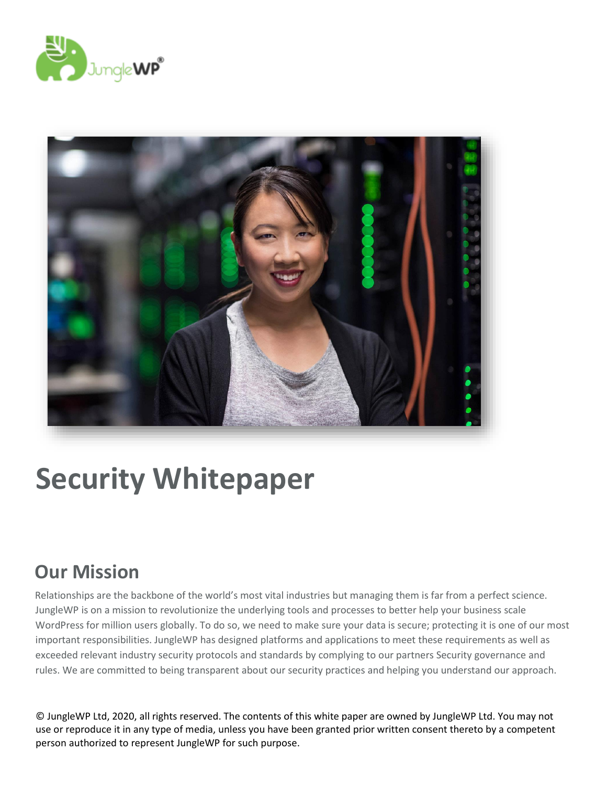



# **Security Whitepaper**

### <span id="page-0-0"></span>**Our Mission**

Relationships are the backbone of the world's most vital industries but managing them is far from a perfect science. JungleWP is on a mission to revolutionize the underlying tools and processes to better help your business scale WordPress for million users globally. To do so, we need to make sure your data is secure; protecting it is one of our most important responsibilities. JungleWP has designed platforms and applications to meet these requirements as well as exceeded relevant industry security protocols and standards by complying to our partners Security governance and rules. We are committed to being transparent about our security practices and helping you understand our approach.

© JungleWP Ltd, 2020, all rights reserved. The contents of this white paper are owned by JungleWP Ltd. You may not use or reproduce it in any type of media, unless you have been granted prior written consent thereto by a competent person authorized to represent JungleWP for such purpose.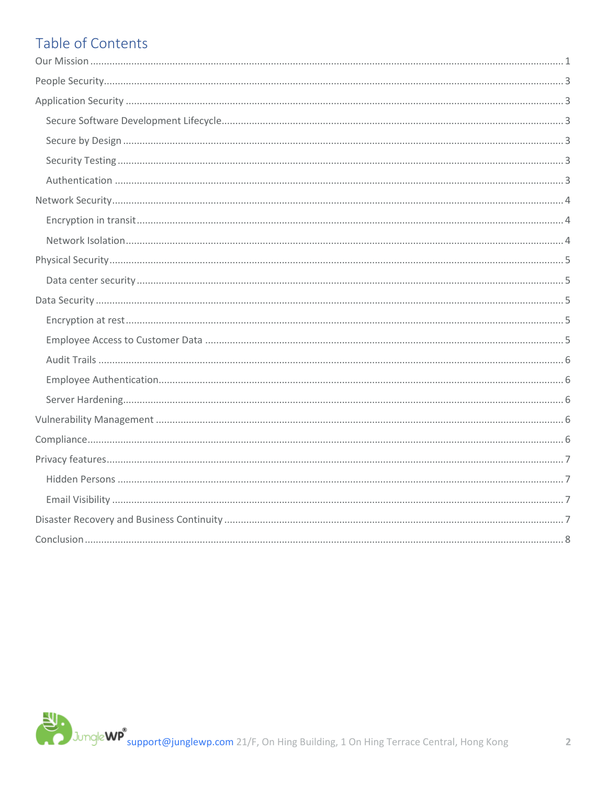### Table of Contents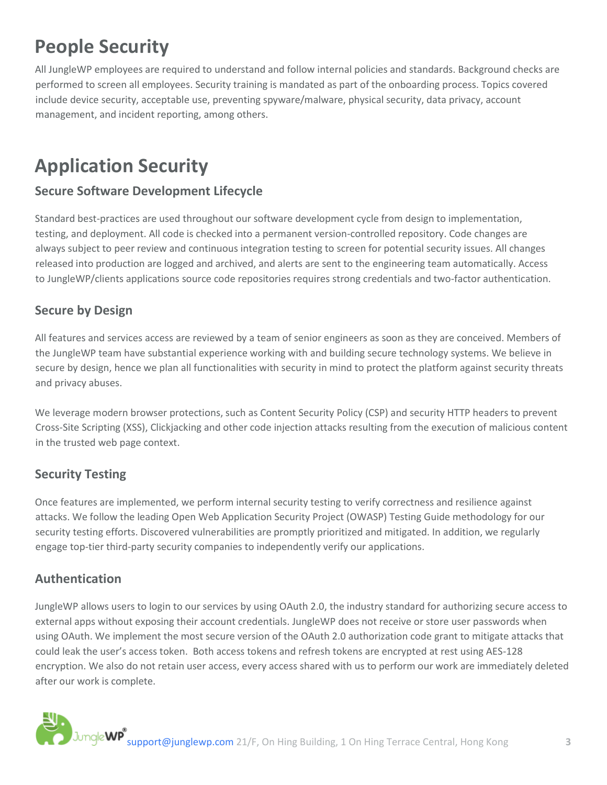# <span id="page-2-0"></span>**People Security**

All JungleWP employees are required to understand and follow internal policies and standards. Background checks are performed to screen all employees. Security training is mandated as part of the onboarding process. Topics covered include device security, acceptable use, preventing spyware/malware, physical security, data privacy, account management, and incident reporting, among others.

# <span id="page-2-1"></span>**Application Security**

### <span id="page-2-2"></span>**Secure Software Development Lifecycle**

Standard best-practices are used throughout our software development cycle from design to implementation, testing, and deployment. All code is checked into a permanent version-controlled repository. Code changes are always subject to peer review and continuous integration testing to screen for potential security issues. All changes released into production are logged and archived, and alerts are sent to the engineering team automatically. Access to JungleWP/clients applications source code repositories requires strong credentials and two-factor authentication.

### <span id="page-2-3"></span>**Secure by Design**

All features and services access are reviewed by a team of senior engineers as soon as they are conceived. Members of the JungleWP team have substantial experience working with and building secure technology systems. We believe in secure by design, hence we plan all functionalities with security in mind to protect the platform against security threats and privacy abuses.

We leverage modern browser protections, such as Content Security Policy (CSP) and security HTTP headers to prevent Cross-Site Scripting (XSS), Clickjacking and other code injection attacks resulting from the execution of malicious content in the trusted web page context.

### <span id="page-2-4"></span>**Security Testing**

Once features are implemented, we perform internal security testing to verify correctness and resilience against attacks. We follow the leading Open Web Application Security Project (OWASP) Testing Guide methodology for our security testing efforts. Discovered vulnerabilities are promptly prioritized and mitigated. In addition, we regularly engage top-tier third-party security companies to independently verify our applications.

### <span id="page-2-5"></span>**Authentication**

JungleWP allows users to login to our services by using OAuth 2.0, the industry standard for authorizing secure access to external apps without exposing their account credentials. JungleWP does not receive or store user passwords when using OAuth. We implement the most secure version of the OAuth 2.0 authorization code grant to mitigate attacks that could leak the user's access token. Both access tokens and refresh tokens are encrypted at rest using AES-128 encryption. We also do not retain user access, every access shared with us to perform our work are immediately deleted after our work is complete.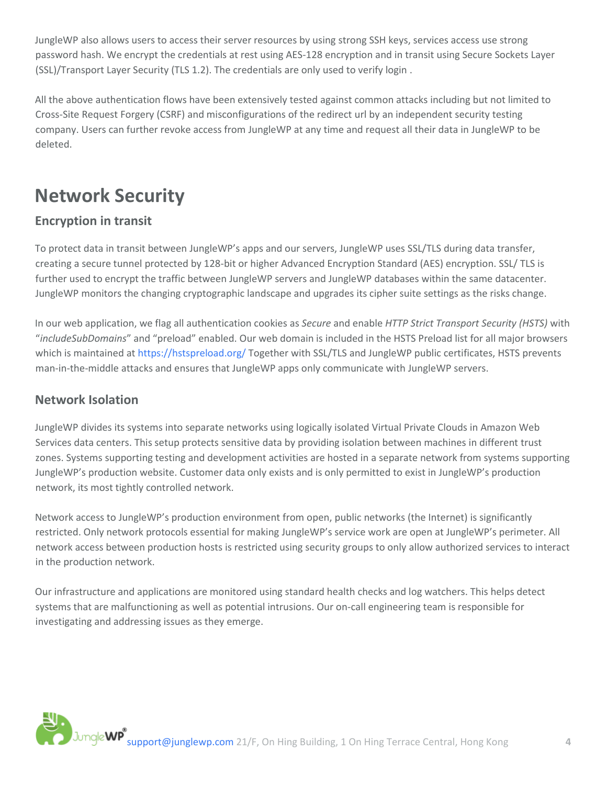JungleWP also allows users to access their server resources by using strong SSH keys, services access use strong password hash. We encrypt the credentials at rest using AES-128 encryption and in transit using Secure Sockets Layer (SSL)/Transport Layer Security (TLS 1.2). The credentials are only used to verify login .

All the above authentication flows have been extensively tested against common attacks including but not limited to Cross-Site Request Forgery (CSRF) and misconfigurations of the redirect url by an independent security testing company. Users can further revoke access from JungleWP at any time and request all their data in JungleWP to be deleted.

# <span id="page-3-0"></span>**Network Security**

### <span id="page-3-1"></span>**Encryption in transit**

To protect data in transit between JungleWP's apps and our servers, JungleWP uses SSL/TLS during data transfer, creating a secure tunnel protected by 128-bit or higher Advanced Encryption Standard (AES) encryption. SSL/ TLS is further used to encrypt the traffic between JungleWP servers and JungleWP databases within the same datacenter. JungleWP monitors the changing cryptographic landscape and upgrades its cipher suite settings as the risks change.

In our web application, we flag all authentication cookies as *Secure* and enable *HTTP Strict Transport Security (HSTS)* with "*includeSubDomains*" and "preload" enabled. Our web domain is included in the HSTS Preload list for all major browsers which is maintained at<https://hstspreload.org/> Together with SSL/TLS and JungleWP public certificates, HSTS prevents man-in-the-middle attacks and ensures that JungleWP apps only communicate with JungleWP servers.

### <span id="page-3-2"></span>**Network Isolation**

JungleWP divides its systems into separate networks using logically isolated Virtual Private Clouds in Amazon Web Services data centers. This setup protects sensitive data by providing isolation between machines in different trust zones. Systems supporting testing and development activities are hosted in a separate network from systems supporting JungleWP's production website. Customer data only exists and is only permitted to exist in JungleWP's production network, its most tightly controlled network.

Network access to JungleWP's production environment from open, public networks (the Internet) is significantly restricted. Only network protocols essential for making JungleWP's service work are open at JungleWP's perimeter. All network access between production hosts is restricted using security groups to only allow authorized services to interact in the production network.

Our infrastructure and applications are monitored using standard health checks and log watchers. This helps detect systems that are malfunctioning as well as potential intrusions. Our on-call engineering team is responsible for investigating and addressing issues as they emerge.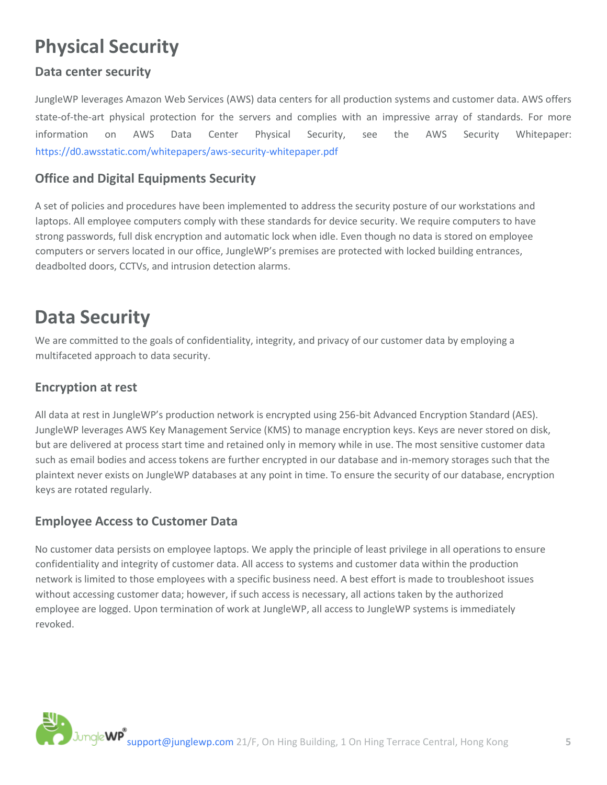## <span id="page-4-0"></span>**Physical Security**

### <span id="page-4-1"></span>**Data center security**

JungleWP leverages Amazon Web Services (AWS) data centers for all production systems and customer data. AWS offers state-of-the-art physical protection for the servers and complies with an impressive array of standards. For more information on AWS Data Center Physical Security, see the AWS Security Whitepaper: <https://d0.awsstatic.com/whitepapers/aws-security-whitepaper.pdf>

### **Office and Digital Equipments Security**

A set of policies and procedures have been implemented to address the security posture of our workstations and laptops. All employee computers comply with these standards for device security. We require computers to have strong passwords, full disk encryption and automatic lock when idle. Even though no data is stored on employee computers or servers located in our office, JungleWP's premises are protected with locked building entrances, deadbolted doors, CCTVs, and intrusion detection alarms.

### <span id="page-4-2"></span>**Data Security**

We are committed to the goals of confidentiality, integrity, and privacy of our customer data by employing a multifaceted approach to data security.

### <span id="page-4-3"></span>**Encryption at rest**

All data at rest in JungleWP's production network is encrypted using 256-bit Advanced Encryption Standard (AES). JungleWP leverages AWS Key Management Service (KMS) to manage encryption keys. Keys are never stored on disk, but are delivered at process start time and retained only in memory while in use. The most sensitive customer data such as email bodies and access tokens are further encrypted in our database and in-memory storages such that the plaintext never exists on JungleWP databases at any point in time. To ensure the security of our database, encryption keys are rotated regularly.

#### <span id="page-4-4"></span>**Employee Access to Customer Data**

No customer data persists on employee laptops. We apply the principle of least privilege in all operations to ensure confidentiality and integrity of customer data. All access to systems and customer data within the production network is limited to those employees with a specific business need. A best effort is made to troubleshoot issues without accessing customer data; however, if such access is necessary, all actions taken by the authorized employee are logged. Upon termination of work at JungleWP, all access to JungleWP systems is immediately revoked.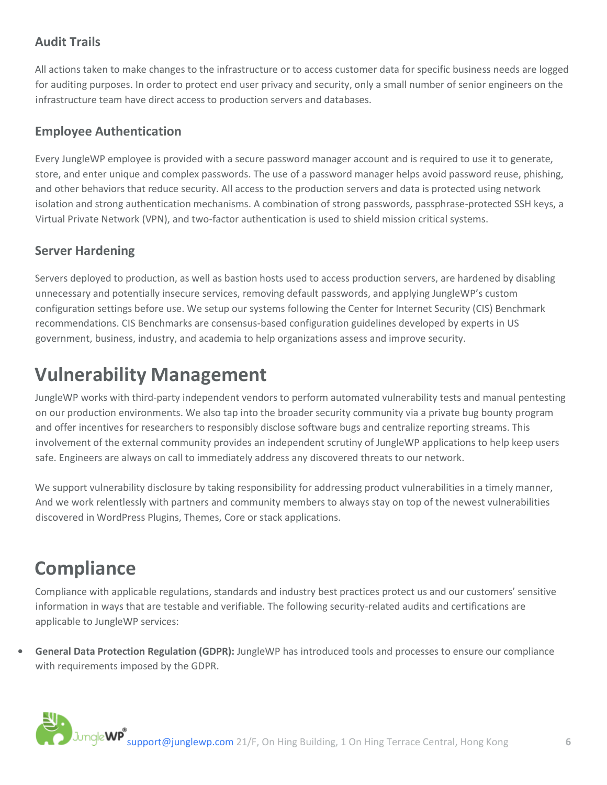### <span id="page-5-0"></span>**Audit Trails**

All actions taken to make changes to the infrastructure or to access customer data for specific business needs are logged for auditing purposes. In order to protect end user privacy and security, only a small number of senior engineers on the infrastructure team have direct access to production servers and databases.

#### <span id="page-5-1"></span>**Employee Authentication**

Every JungleWP employee is provided with a secure password manager account and is required to use it to generate, store, and enter unique and complex passwords. The use of a password manager helps avoid password reuse, phishing, and other behaviors that reduce security. All access to the production servers and data is protected using network isolation and strong authentication mechanisms. A combination of strong passwords, passphrase-protected SSH keys, a Virtual Private Network (VPN), and two-factor authentication is used to shield mission critical systems.

#### <span id="page-5-2"></span>**Server Hardening**

Servers deployed to production, as well as bastion hosts used to access production servers, are hardened by disabling unnecessary and potentially insecure services, removing default passwords, and applying JungleWP's custom configuration settings before use. We setup our systems following the Center for Internet Security (CIS) Benchmark recommendations. CIS Benchmarks are consensus-based configuration guidelines developed by experts in US government, business, industry, and academia to help organizations assess and improve security.

### <span id="page-5-3"></span>**Vulnerability Management**

JungleWP works with third-party independent vendors to perform automated vulnerability tests and manual pentesting on our production environments. We also tap into the broader security community via a private bug bounty program and offer incentives for researchers to responsibly disclose software bugs and centralize reporting streams. This involvement of the external community provides an independent scrutiny of JungleWP applications to help keep users safe. Engineers are always on call to immediately address any discovered threats to our network.

We support vulnerability disclosure by taking responsibility for addressing product vulnerabilities in a timely manner, And we work relentlessly with partners and community members to always stay on top of the newest vulnerabilities discovered in WordPress Plugins, Themes, Core or stack applications.

### <span id="page-5-4"></span>**Compliance**

Compliance with applicable regulations, standards and industry best practices protect us and our customers' sensitive information in ways that are testable and verifiable. The following security-related audits and certifications are applicable to JungleWP services:

**• General Data Protection Regulation (GDPR):** JungleWP has introduced tools and processes to ensure our compliance with requirements imposed by the GDPR.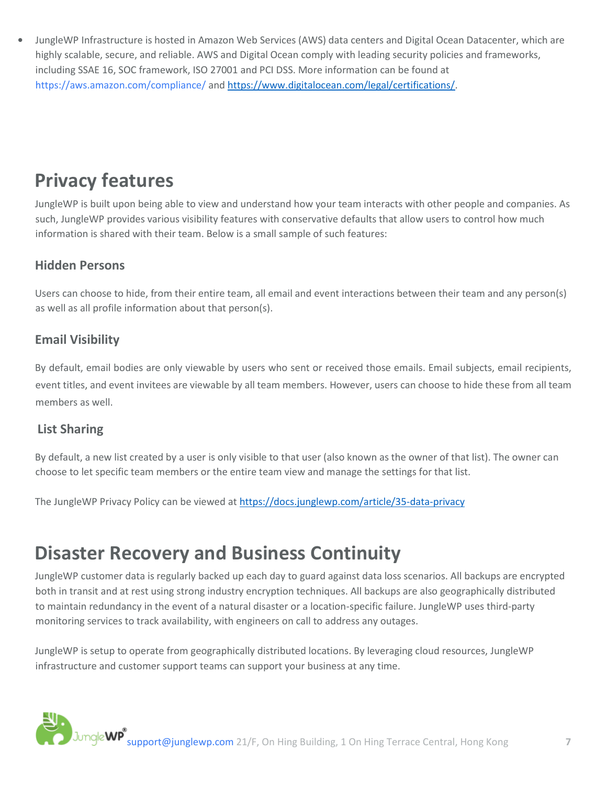**•** JungleWP Infrastructure is hosted in Amazon Web Services (AWS) data centers and Digital Ocean Datacenter, which are highly scalable, secure, and reliable. AWS and Digital Ocean comply with leading security policies and frameworks, including SSAE 16, SOC framework, ISO 27001 and PCI DSS. More information can be found at <https://aws.amazon.com/compliance/> an[d https://www.digitalocean.com/legal/certifications/.](https://www.digitalocean.com/legal/certifications/)

# <span id="page-6-0"></span>**Privacy features**

JungleWP is built upon being able to view and understand how your team interacts with other people and companies. As such, JungleWP provides various visibility features with conservative defaults that allow users to control how much information is shared with their team. Below is a small sample of such features:

### <span id="page-6-1"></span>**Hidden Persons**

Users can choose to hide, from their entire team, all email and event interactions between their team and any person(s) as well as all profile information about that person(s).

### <span id="page-6-2"></span>**Email Visibility**

By default, email bodies are only viewable by users who sent or received those emails. Email subjects, email recipients, event titles, and event invitees are viewable by all team members. However, users can choose to hide these from all team members as well.

#### **List Sharing**

By default, a new list created by a user is only visible to that user (also known as the owner of that list). The owner can choose to let specific team members or the entire team view and manage the settings for that list.

The JungleWP Privacy Policy can be viewed a[t https://docs.junglewp.com/article/35-data-privacy](https://docs.junglewp.com/article/35-data-privacy)

### <span id="page-6-3"></span>**Disaster Recovery and Business Continuity**

JungleWP customer data is regularly backed up each day to guard against data loss scenarios. All backups are encrypted both in transit and at rest using strong industry encryption techniques. All backups are also geographically distributed to maintain redundancy in the event of a natural disaster or a location-specific failure. JungleWP uses third-party monitoring services to track availability, with engineers on call to address any outages.

JungleWP is setup to operate from geographically distributed locations. By leveraging cloud resources, JungleWP infrastructure and customer support teams can support your business at any time.